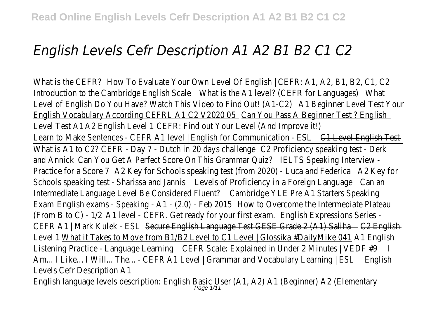## *English Levels Cefr Description A1 A2 B1 B2 C1 C2*

What is the CEFR? How To Evaluate Your Own Level Of English | CEFR: A1, A2, B1, B2, C1, C2 Introduction to the Cambridge English Scale What is the A1 level? (CEFR for Languages) What Level of English Do You Have? Watch This Video to Find Out! (A1-C2)A1 Beginner Level Test Your English Vocabulary According CEFRL A1 C2 V2020 05 Can You Pass A Beginner Test ? English Level Test A1A2 English Level 1 CEFR: Find out Your Level (And Improve it!) Learn to Make Sentences - CEFR A1 level | English for Communication - ESC1 Level English Test What is A1 to C2? CEFR - Day 7 - Dutch in 20 days challen@2 Proficiency speaking test - Derk and Annick Can You Get A Perfect Score On This Grammar Quiz? IELTS Speaking Interview -Practice for a Score  $A2$  Key for Schools speaking test (from 2020) - Luca and FedeAi2dKey for Schools speaking test - Sharissa and Jannlisvels of Proficiency in a Foreign LanguageCan an Intermediate Language Level Be Considered Fluent?Cambridge YLE Pre A1 Starters Speaking Exam English exams - Speaking - A1 - (2.0) - Feb 2015 by to Overcome the Intermediate Plateau (From B to C) - 1/2A1 level - CEFR. Get ready for your first examenglish Expressions Series -CEFR A1 | Mark Kulek - ESL Secure English Language Test GESE Grade 2 (A1) Saliha C2 English Level 4 What it Takes to Move from B1/B2 Level to C1 Level | Glossika #DailyMike 044 1 English Listening Practice - Language LearningCEFR Scale: Explained in Under 2 Minutes | VEDF #9 I Am... I Like... I Will... The... - CEFR A1 Level | Grammar and Vocabulary Learning | ESL English Levels Cefr Description A1 English language levels description: English Basic User (A1, A2) A1 (Beginner) A2 (Elementary<br>Page 1/11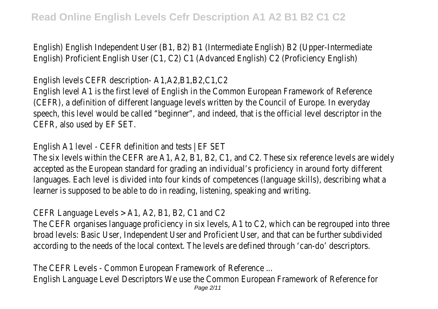English) English Independent User (B1, B2) B1 (Intermediate English) B2 (Upper-Intermediate English) Proficient English User (C1, C2) C1 (Advanced English) C2 (Proficiency English)

English levels CEFR description- A1,A2,B1,B2,C1,C2

English level A1 is the first level of English in the Common European Framework of Reference (CEFR), a definition of different language levels written by the Council of Europe. In everyday speech, this level would be called "beginner", and indeed, that is the official level descriptor in the CEFR, also used by EF SET.

English A1 level - CEFR definition and tests | EF SET

The six levels within the CEFR are A1, A2, B1, B2, C1, and C2. These six reference levels are widely accepted as the European standard for grading an individual's proficiency in around forty different languages. Each level is divided into four kinds of competences (language skills), describing what a learner is supposed to be able to do in reading, listening, speaking and writing.

CEFR Language Levels > A1, A2, B1, B2, C1 and C2

The CEFR organises language proficiency in six levels, A1 to C2, which can be regrouped into three broad levels: Basic User, Independent User and Proficient User, and that can be further subdivided according to the needs of the local context. The levels are defined through 'can-do' descriptors.

The CEFR Levels - Common European Framework of Reference ...

English Language Level Descriptors We use the Common European Framework of Reference for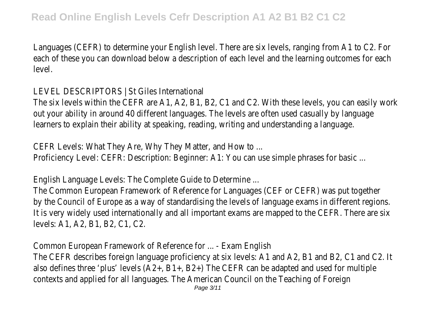Languages (CEFR) to determine your English level. There are six levels, ranging from A1 to C2. For each of these you can download below a description of each level and the learning outcomes for each level.

LEVEL DESCRIPTORS | St Giles International

The six levels within the CEFR are A1, A2, B1, B2, C1 and C2. With these levels, you can easily work out your ability in around 40 different languages. The levels are often used casually by language learners to explain their ability at speaking, reading, writing and understanding a language.

CEFR Levels: What They Are, Why They Matter, and How to ...

Proficiency Level: CEFR: Description: Beginner: A1: You can use simple phrases for basic ...

English Language Levels: The Complete Guide to Determine ...

The Common European Framework of Reference for Languages (CEF or CEFR) was put together by the Council of Europe as a way of standardising the levels of language exams in different regions. It is very widely used internationally and all important exams are mapped to the CEFR. There are six levels: A1, A2, B1, B2, C1, C2.

Common European Framework of Reference for ... - Exam English

The CEFR describes foreign language proficiency at six levels: A1 and A2, B1 and B2, C1 and C2. It also defines three 'plus' levels (A2+, B1+, B2+) The CEFR can be adapted and used for multiple contexts and applied for all languages. The American Council on the Teaching of Foreign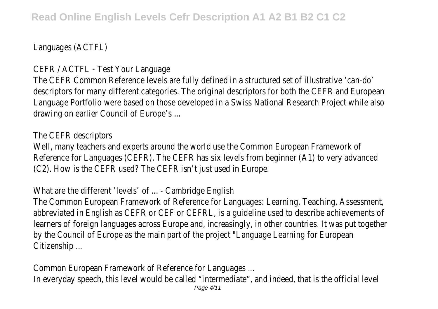Languages (ACTFL)

CEFR / ACTFL - Test Your Language

The CEFR Common Reference levels are fully defined in a structured set of illustrative 'can-do' descriptors for many different categories. The original descriptors for both the CEFR and European Language Portfolio were based on those developed in a Swiss National Research Project while also drawing on earlier Council of Europe's ...

The CEFR descriptors

Well, many teachers and experts around the world use the Common European Framework of Reference for Languages (CEFR). The CEFR has six levels from beginner (A1) to very advanced (C2). How is the CEFR used? The CEFR isn't just used in Europe.

What are the different 'levels' of ... - Cambridge English

The Common European Framework of Reference for Languages: Learning, Teaching, Assessment, abbreviated in English as CEFR or CEF or CEFRL, is a guideline used to describe achievements of learners of foreign languages across Europe and, increasingly, in other countries. It was put together by the Council of Europe as the main part of the project "Language Learning for European Citizenship ...

Common European Framework of Reference for Languages ...

In everyday speech, this level would be called "intermediate", and indeed, that is the official level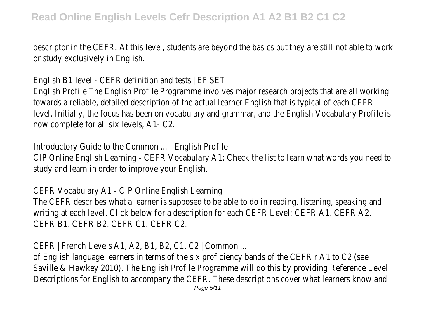descriptor in the CEFR. At this level, students are beyond the basics but they are still not able to work or study exclusively in English.

English B1 level - CEFR definition and tests | EF SET English Profile The English Profile Programme involves major research projects that are all working towards a reliable, detailed description of the actual learner English that is typical of each CEFR level. Initially, the focus has been on vocabulary and grammar, and the English Vocabulary Profile is now complete for all six levels, A1- C2.

Introductory Guide to the Common ... - English Profile CIP Online English Learning - CEFR Vocabulary A1: Check the list to learn what words you need to

study and learn in order to improve your English.

CEFR Vocabulary A1 - CIP Online English Learning The CEFR describes what a learner is supposed to be able to do in reading, listening, speaking and writing at each level. Click below for a description for each CEFR Level: CEFR A1. CEFR A2. CEFR B1. CEFR B2. CEFR C1. CEFR C2.

CEFR | French Levels A1, A2, B1, B2, C1, C2 | Common ...

of English language learners in terms of the six proficiency bands of the CEFR r A1 to C2 (see Saville & Hawkey 2010). The English Profile Programme will do this by providing Reference Level Descriptions for English to accompany the CEFR. These descriptions cover what learners know and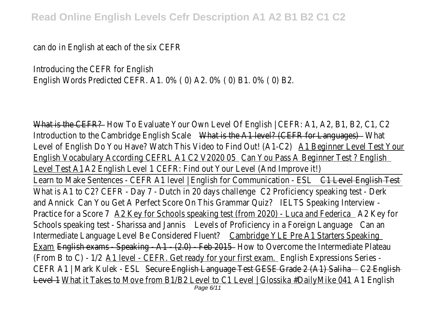can do in English at each of the six CEFR

Introducing the CEFR for English English Words Predicted CEFR. A1. 0% ( 0) A2. 0% ( 0) B1. 0% ( 0) B2.

What is the CEFR? How To Evaluate Your Own Level Of English | CEFR: A1, A2, B1, B2, C1, C2 Introduction to the Cambridge English Scale What is the A1 level? (CEFR for Languages) What Level of English Do You Have? Watch This Video to Find Out! (A1-C2) A1 Beginner Level Test Your English Vocabulary According CEFRL A1 C2 V2020 05 Can You Pass A Beginner Test ? English Level Test A1A2 English Level 1 CEFR: Find out Your Level (And Improve it!) Learn to Make Sentences - CEFR A1 level | English for Communication - ESC1 Level English Test What is A1 to C2? CEFR - Day 7 - Dutch in 20 days challen **Q** Proficiency speaking test - Derk and Annick Can You Get A Perfect Score On This Grammar Quiz? IELTS Speaking Interview -Practice for a Score  $A2$  Key for Schools speaking test (from 2020) - Luca and FedeAi2dKey for Schools speaking test - Sharissa and Jannlisvels of Proficiency in a Foreign LanguageCan an Intermediate Language Level Be Considered Fluent?Cambridge YLE Pre A1 Starters Speaking Exam English exams - Speaking -  $A1 - (2.0)$  - Feb 2015 bv to Overcome the Intermediate Plateau (From B to C) - 1/2A1 level - CEFR. Get ready for your first examenglish Expressions Series -CEFR A1 | Mark Kulek - ESL Secure English Language Test GESE Grade 2 (A1) Saliha C2 English Level 4 What it Takes to Move from B1/B2 Level to C1 Level | Glossika #DailyMike 044 1 English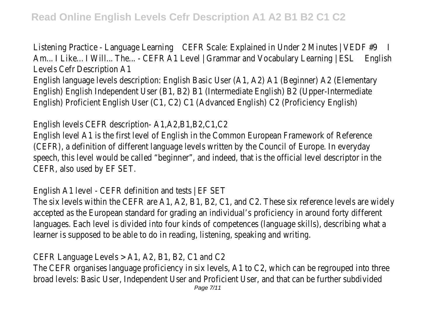Listening Practice - Language LearningCEFR Scale: Explained in Under 2 Minutes | VEDF #9 I Am... I Like... I Will... The... - CEFR A1 Level | Grammar and Vocabulary Learning | ESL English Levels Cefr Description A1

English language levels description: English Basic User (A1, A2) A1 (Beginner) A2 (Elementary English) English Independent User (B1, B2) B1 (Intermediate English) B2 (Upper-Intermediate English) Proficient English User (C1, C2) C1 (Advanced English) C2 (Proficiency English)

English levels CEFR description- A1,A2,B1,B2,C1,C2

English level A1 is the first level of English in the Common European Framework of Reference (CEFR), a definition of different language levels written by the Council of Europe. In everyday speech, this level would be called "beginner", and indeed, that is the official level descriptor in the CEFR, also used by EF SET.

English A1 level - CEFR definition and tests | EF SET

The six levels within the CEFR are A1, A2, B1, B2, C1, and C2. These six reference levels are widely accepted as the European standard for grading an individual's proficiency in around forty different languages. Each level is divided into four kinds of competences (language skills), describing what a learner is supposed to be able to do in reading, listening, speaking and writing.

CEFR Language Levels > A1, A2, B1, B2, C1 and C2

The CEFR organises language proficiency in six levels, A1 to C2, which can be regrouped into three broad levels: Basic User, Independent User and Proficient User, and that can be further subdivided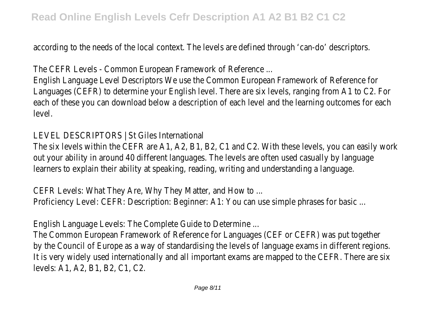according to the needs of the local context. The levels are defined through 'can-do' descriptors.

The CEFR Levels - Common European Framework of Reference ...

English Language Level Descriptors We use the Common European Framework of Reference for Languages (CEFR) to determine your English level. There are six levels, ranging from A1 to C2. For each of these you can download below a description of each level and the learning outcomes for each level.

LEVEL DESCRIPTORS | St Giles International

The six levels within the CEFR are A1, A2, B1, B2, C1 and C2. With these levels, you can easily work out your ability in around 40 different languages. The levels are often used casually by language learners to explain their ability at speaking, reading, writing and understanding a language.

CEFR Levels: What They Are, Why They Matter, and How to ...

Proficiency Level: CEFR: Description: Beginner: A1: You can use simple phrases for basic ...

English Language Levels: The Complete Guide to Determine ...

The Common European Framework of Reference for Languages (CEF or CEFR) was put together by the Council of Europe as a way of standardising the levels of language exams in different regions. It is very widely used internationally and all important exams are mapped to the CEFR. There are six levels: A1, A2, B1, B2, C1, C2.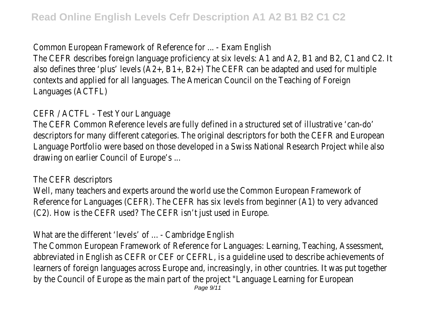Common European Framework of Reference for ... - Exam English

The CEFR describes foreign language proficiency at six levels: A1 and A2, B1 and B2, C1 and C2. It also defines three 'plus' levels (A2+, B1+, B2+) The CEFR can be adapted and used for multiple contexts and applied for all languages. The American Council on the Teaching of Foreign Languages (ACTFL)

## CEFR / ACTFL - Test Your Language

The CEFR Common Reference levels are fully defined in a structured set of illustrative 'can-do' descriptors for many different categories. The original descriptors for both the CEFR and European Language Portfolio were based on those developed in a Swiss National Research Project while also drawing on earlier Council of Europe's ...

## The CEFR descriptors

Well, many teachers and experts around the world use the Common European Framework of Reference for Languages (CEFR). The CEFR has six levels from beginner (A1) to very advanced (C2). How is the CEFR used? The CEFR isn't just used in Europe.

What are the different 'levels' of ... - Cambridge English

The Common European Framework of Reference for Languages: Learning, Teaching, Assessment, abbreviated in English as CEFR or CEF or CEFRL, is a guideline used to describe achievements of learners of foreign languages across Europe and, increasingly, in other countries. It was put together by the Council of Europe as the main part of the project "Language Learning for European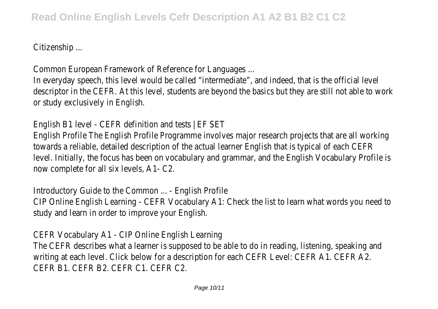Citizenship ...

Common European Framework of Reference for Languages ...

In everyday speech, this level would be called "intermediate", and indeed, that is the official level descriptor in the CEFR. At this level, students are beyond the basics but they are still not able to work or study exclusively in English.

English B1 level - CEFR definition and tests | EF SET

English Profile The English Profile Programme involves major research projects that are all working towards a reliable, detailed description of the actual learner English that is typical of each CEFR level. Initially, the focus has been on vocabulary and grammar, and the English Vocabulary Profile is now complete for all six levels, A1- C2.

Introductory Guide to the Common ... - English Profile

CIP Online English Learning - CEFR Vocabulary A1: Check the list to learn what words you need to study and learn in order to improve your English.

CEFR Vocabulary A1 - CIP Online English Learning

The CEFR describes what a learner is supposed to be able to do in reading, listening, speaking and writing at each level. Click below for a description for each CEFR Level: CEFR A1. CEFR A2. CEFR B1. CEFR B2. CEFR C1. CEFR C2.